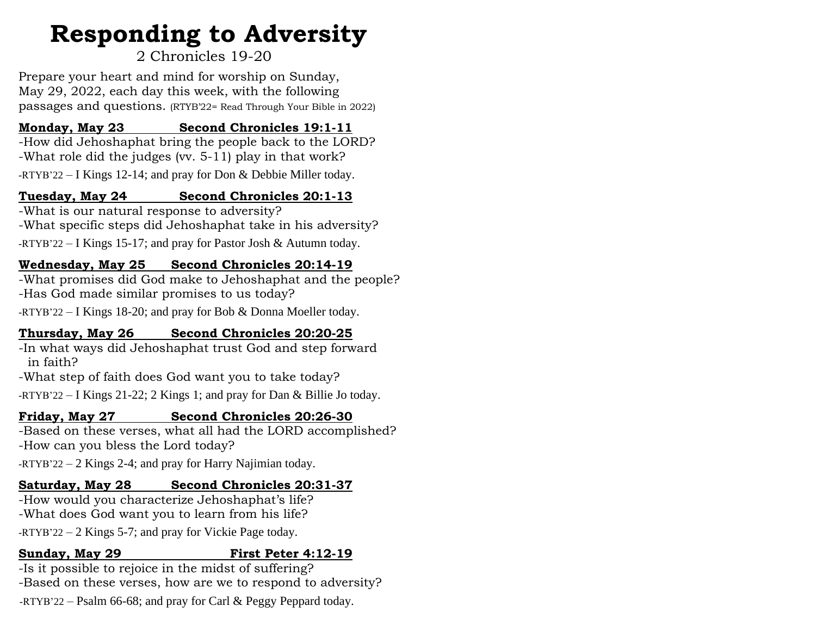# **Responding to Adversity**

### 2 Chronicles 19-20

Prepare your heart and mind for worship on Sunday, May 29, 2022, each day this week, with the following passages and questions. (RTYB'22= Read Through Your Bible in 2022)

#### **Monday, May 23 Second Chronicles 19:1-11**

-How did Jehoshaphat bring the people back to the LORD? -What role did the judges (vv. 5-11) play in that work? -RTYB'22 – I Kings 12-14; and pray for Don & Debbie Miller today.

#### **Tuesday, May 24 Second Chronicles 20:1-13**

-What is our natural response to adversity? -What specific steps did Jehoshaphat take in his adversity? -RTYB'22 – I Kings 15-17; and pray for Pastor Josh & Autumn today.

#### **Wednesday, May 25 Second Chronicles 20:14-19**

-What promises did God make to Jehoshaphat and the people? -Has God made similar promises to us today?

-RTYB'22 – I Kings 18-20; and pray for Bob & Donna Moeller today.

#### **Thursday, May 26 Second Chronicles 20:20-25**

-In what ways did Jehoshaphat trust God and step forward in faith?

-What step of faith does God want you to take today?

-RTYB'22 – I Kings 21-22; 2 Kings 1; and pray for Dan & Billie Jo today.

#### **Friday, May 27 Second Chronicles 20:26-30**

-Based on these verses, what all had the LORD accomplished? -How can you bless the Lord today?

-RTYB'22 – 2 Kings 2-4; and pray for Harry Najimian today.

#### **Saturday, May 28 Second Chronicles 20:31-37**

-How would you characterize Jehoshaphat's life? -What does God want you to learn from his life? -RTYB'22 – 2 Kings 5-7; and pray for Vickie Page today.

#### **Sunday, May 29 First Peter 4:12-19**

-Is it possible to rejoice in the midst of suffering? -Based on these verses, how are we to respond to adversity? -RTYB'22 – Psalm 66-68; and pray for Carl & Peggy Peppard today.